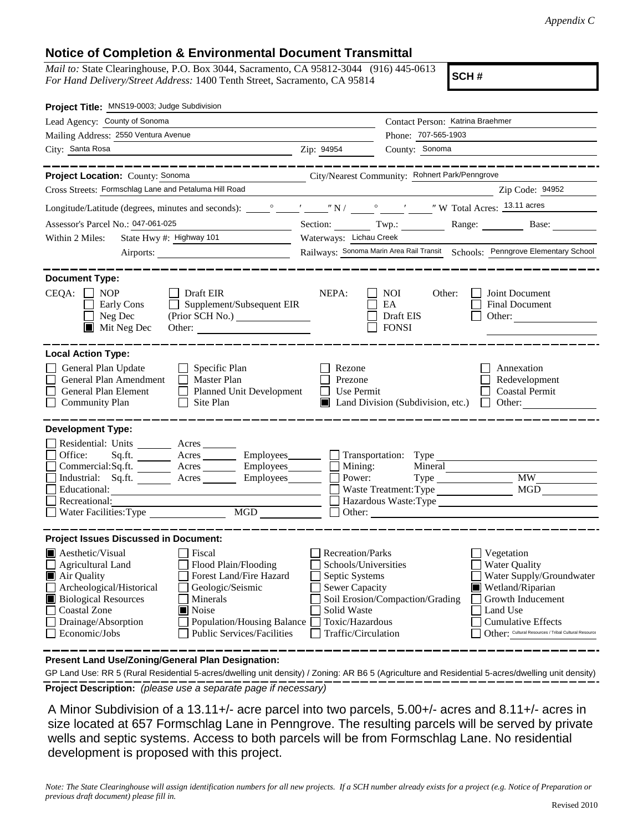## **Notice of Completion & Environmental Document Transmittal**

*Mail to:* State Clearinghouse, P.O. Box 3044, Sacramento, CA 95812-3044 (916) 445-0613 *For Hand Delivery/Street Address:* 1400 Tenth Street, Sacramento, CA 95814

**SCH #**

| Project Title: MNS19-0003; Judge Subdivision                                                                                                                                                                                                                                                                                                                           |                                                                                                                                                                                                                                                                                                                                                                                             |  |  |
|------------------------------------------------------------------------------------------------------------------------------------------------------------------------------------------------------------------------------------------------------------------------------------------------------------------------------------------------------------------------|---------------------------------------------------------------------------------------------------------------------------------------------------------------------------------------------------------------------------------------------------------------------------------------------------------------------------------------------------------------------------------------------|--|--|
| Lead Agency: County of Sonoma                                                                                                                                                                                                                                                                                                                                          | Contact Person: Katrina Braehmer                                                                                                                                                                                                                                                                                                                                                            |  |  |
| Mailing Address: 2550 Ventura Avenue                                                                                                                                                                                                                                                                                                                                   | Phone: 707-565-1903                                                                                                                                                                                                                                                                                                                                                                         |  |  |
| City: Santa Rosa                                                                                                                                                                                                                                                                                                                                                       | Zip: 94954<br>County: Sonoma                                                                                                                                                                                                                                                                                                                                                                |  |  |
| Project Location: County: Sonoma                                                                                                                                                                                                                                                                                                                                       |                                                                                                                                                                                                                                                                                                                                                                                             |  |  |
| Cross Streets: Formschlag Lane and Petaluma Hill Road                                                                                                                                                                                                                                                                                                                  | City/Nearest Community: Rohnert Park/Penngrove                                                                                                                                                                                                                                                                                                                                              |  |  |
|                                                                                                                                                                                                                                                                                                                                                                        | Zip Code: 94952                                                                                                                                                                                                                                                                                                                                                                             |  |  |
|                                                                                                                                                                                                                                                                                                                                                                        |                                                                                                                                                                                                                                                                                                                                                                                             |  |  |
| Assessor's Parcel No.: 047-061-025                                                                                                                                                                                                                                                                                                                                     | Section: $Twp:$<br>Range: Base:                                                                                                                                                                                                                                                                                                                                                             |  |  |
| State Hwy #: Highway 101<br>Within 2 Miles:                                                                                                                                                                                                                                                                                                                            | Waterways: Lichau Creek                                                                                                                                                                                                                                                                                                                                                                     |  |  |
|                                                                                                                                                                                                                                                                                                                                                                        | Railways: Sonoma Marin Area Rail Transit Schools: Penngrove Elementary School                                                                                                                                                                                                                                                                                                               |  |  |
| <b>Document Type:</b>                                                                                                                                                                                                                                                                                                                                                  |                                                                                                                                                                                                                                                                                                                                                                                             |  |  |
| $CEQA: \Box NP$<br>$\Box$ Draft EIR<br>$\Box$ Supplement/Subsequent EIR<br>Early Cons<br>$\Box$ Neg Dec<br>$\blacksquare$ Mit Neg Dec                                                                                                                                                                                                                                  | NEPA:<br>Joint Document<br>NOI<br>Other:<br>EA<br>Final Document<br>Draft EIS<br>Other:<br><b>FONSI</b>                                                                                                                                                                                                                                                                                     |  |  |
| <b>Local Action Type:</b>                                                                                                                                                                                                                                                                                                                                              |                                                                                                                                                                                                                                                                                                                                                                                             |  |  |
| General Plan Update<br>$\Box$ Specific Plan<br>General Plan Amendment<br>Master Plan<br>$\Box$<br>General Plan Element<br>$\Box$<br><b>Planned Unit Development</b><br><b>Community Plan</b><br>Site Plan                                                                                                                                                              | Rezone<br>Annexation<br>Prezone<br>Redevelopment<br>Use Permit<br><b>Coastal Permit</b><br>$\mathsf{L}$<br>Land Division (Subdivision, etc.)<br>Other:<br>$\perp$                                                                                                                                                                                                                           |  |  |
| <b>Development Type:</b><br>Residential: Units ________ Acres ______<br>Office:<br>Sq.fit.<br>Commercial:Sq.ft. ________ Acres __________ Employees _________ $\Box$<br>Industrial: Sq.ft. _______ Acres _______ Employees ______ $\square$<br>Educational:<br>Recreational:<br>Water Facilities: Type                                                                 | Acres __________ Employees ________ __ Transportation: Type<br>Mineral<br>Mining:<br><b>MW</b><br>Power:<br>Type<br>MGD<br>Waste Treatment: Type<br>Hazardous Waste: Type<br>Other:                                                                                                                                                                                                         |  |  |
| <b>Project Issues Discussed in Document:</b>                                                                                                                                                                                                                                                                                                                           |                                                                                                                                                                                                                                                                                                                                                                                             |  |  |
| $\blacksquare$ Aesthetic/Visual<br>Fiscal<br>Agricultural Land<br>Flood Plain/Flooding<br>Air Quality<br>Forest Land/Fire Hazard<br>Archeological/Historical<br>Geologic/Seismic<br><b>Biological Resources</b><br>Minerals<br><b>Coastal Zone</b><br>Noise<br>Drainage/Absorption<br>Population/Housing Balance<br><b>Public Services/Facilities</b><br>Economic/Jobs | Recreation/Parks<br>Vegetation<br><b>Water Quality</b><br>Schools/Universities<br>Septic Systems<br>Water Supply/Groundwater<br><b>Sewer Capacity</b><br>Wetland/Riparian<br>Soil Erosion/Compaction/Grading<br>Growth Inducement<br>Solid Waste<br>Land Use<br>Toxic/Hazardous<br><b>Cumulative Effects</b><br>Traffic/Circulation<br>Other: Cultural Resources / Tribal Cultural Resource |  |  |

**Present Land Use/Zoning/General Plan Designation:**

**Project Description:** *(please use a separate page if necessary)* GP Land Use: RR 5 (Rural Residential 5-acres/dwelling unit density) / Zoning: AR B6 5 (Agriculture and Residential 5-acres/dwelling unit density)

 A Minor Subdivision of a 13.11+/- acre parcel into two parcels, 5.00+/- acres and 8.11+/- acres in size located at 657 Formschlag Lane in Penngrove. The resulting parcels will be served by private wells and septic systems. Access to both parcels will be from Formschlag Lane. No residential development is proposed with this project.

*Note: The State Clearinghouse will assign identification numbers for all new projects. If a SCH number already exists for a project (e.g. Notice of Preparation or previous draft document) please fill in.*